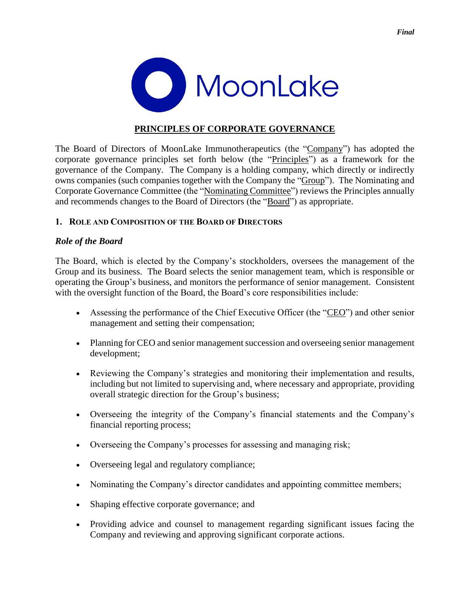

# **PRINCIPLES OF CORPORATE GOVERNANCE**

The Board of Directors of MoonLake Immunotherapeutics (the "Company") has adopted the corporate governance principles set forth below (the "Principles") as a framework for the governance of the Company. The Company is a holding company, which directly or indirectly owns companies (such companies together with the Company the "Group"). The Nominating and Corporate Governance Committee (the "Nominating Committee") reviews the Principles annually and recommends changes to the Board of Directors (the "Board") as appropriate.

## **1. ROLE AND COMPOSITION OF THE BOARD OF DIRECTORS**

## *Role of the Board*

The Board, which is elected by the Company's stockholders, oversees the management of the Group and its business. The Board selects the senior management team, which is responsible or operating the Group's business, and monitors the performance of senior management. Consistent with the oversight function of the Board, the Board's core responsibilities include:

- Assessing the performance of the Chief Executive Officer (the "CEO") and other senior management and setting their compensation;
- Planning for CEO and senior management succession and overseeing senior management development;
- Reviewing the Company's strategies and monitoring their implementation and results, including but not limited to supervising and, where necessary and appropriate, providing overall strategic direction for the Group's business;
- Overseeing the integrity of the Company's financial statements and the Company's financial reporting process;
- Overseeing the Company's processes for assessing and managing risk;
- Overseeing legal and regulatory compliance;
- Nominating the Company's director candidates and appointing committee members;
- Shaping effective corporate governance; and
- Providing advice and counsel to management regarding significant issues facing the Company and reviewing and approving significant corporate actions.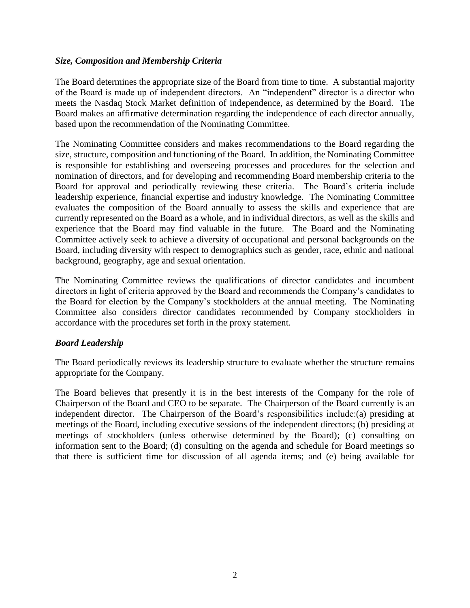## *Size, Composition and Membership Criteria*

The Board determines the appropriate size of the Board from time to time. A substantial majority of the Board is made up of independent directors. An "independent" director is a director who meets the Nasdaq Stock Market definition of independence, as determined by the Board. The Board makes an affirmative determination regarding the independence of each director annually, based upon the recommendation of the Nominating Committee.

The Nominating Committee considers and makes recommendations to the Board regarding the size, structure, composition and functioning of the Board. In addition, the Nominating Committee is responsible for establishing and overseeing processes and procedures for the selection and nomination of directors, and for developing and recommending Board membership criteria to the Board for approval and periodically reviewing these criteria. The Board's criteria include leadership experience, financial expertise and industry knowledge. The Nominating Committee evaluates the composition of the Board annually to assess the skills and experience that are currently represented on the Board as a whole, and in individual directors, as well as the skills and experience that the Board may find valuable in the future. The Board and the Nominating Committee actively seek to achieve a diversity of occupational and personal backgrounds on the Board, including diversity with respect to demographics such as gender, race, ethnic and national background, geography, age and sexual orientation.

The Nominating Committee reviews the qualifications of director candidates and incumbent directors in light of criteria approved by the Board and recommends the Company's candidates to the Board for election by the Company's stockholders at the annual meeting. The Nominating Committee also considers director candidates recommended by Company stockholders in accordance with the procedures set forth in the proxy statement.

# *Board Leadership*

The Board periodically reviews its leadership structure to evaluate whether the structure remains appropriate for the Company.

The Board believes that presently it is in the best interests of the Company for the role of Chairperson of the Board and CEO to be separate. The Chairperson of the Board currently is an independent director. The Chairperson of the Board's responsibilities include:(a) presiding at meetings of the Board, including executive sessions of the independent directors; (b) presiding at meetings of stockholders (unless otherwise determined by the Board); (c) consulting on information sent to the Board; (d) consulting on the agenda and schedule for Board meetings so that there is sufficient time for discussion of all agenda items; and (e) being available for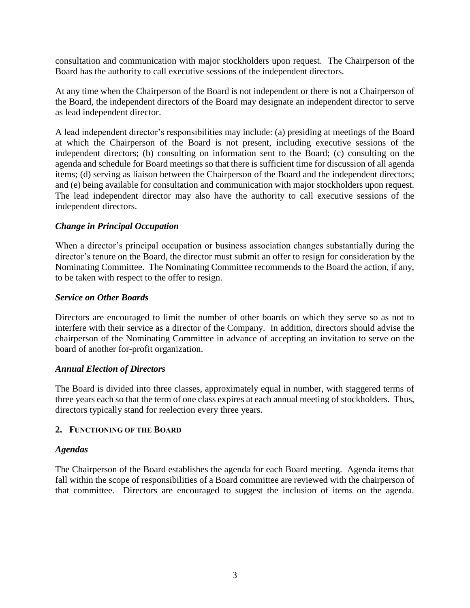consultation and communication with major stockholders upon request. The Chairperson of the Board has the authority to call executive sessions of the independent directors.

At any time when the Chairperson of the Board is not independent or there is not a Chairperson of the Board, the independent directors of the Board may designate an independent director to serve as lead independent director.

A lead independent director's responsibilities may include: (a) presiding at meetings of the Board at which the Chairperson of the Board is not present, including executive sessions of the independent directors; (b) consulting on information sent to the Board; (c) consulting on the agenda and schedule for Board meetings so that there is sufficient time for discussion of all agenda items; (d) serving as liaison between the Chairperson of the Board and the independent directors; and (e) being available for consultation and communication with major stockholders upon request. The lead independent director may also have the authority to call executive sessions of the independent directors.

## *Change in Principal Occupation*

When a director's principal occupation or business association changes substantially during the director's tenure on the Board, the director must submit an offer to resign for consideration by the Nominating Committee. The Nominating Committee recommends to the Board the action, if any, to be taken with respect to the offer to resign.

#### *Service on Other Boards*

Directors are encouraged to limit the number of other boards on which they serve so as not to interfere with their service as a director of the Company. In addition, directors should advise the chairperson of the Nominating Committee in advance of accepting an invitation to serve on the board of another for-profit organization.

#### *Annual Election of Directors*

The Board is divided into three classes, approximately equal in number, with staggered terms of three years each so that the term of one class expires at each annual meeting of stockholders. Thus, directors typically stand for reelection every three years.

#### **2. FUNCTIONING OF THE BOARD**

#### *Agendas*

The Chairperson of the Board establishes the agenda for each Board meeting. Agenda items that fall within the scope of responsibilities of a Board committee are reviewed with the chairperson of that committee. Directors are encouraged to suggest the inclusion of items on the agenda.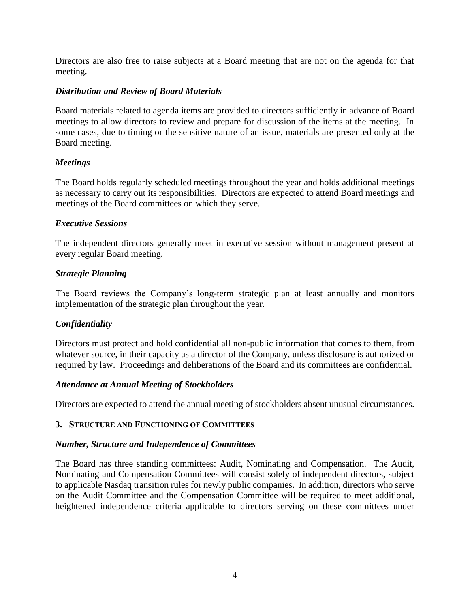Directors are also free to raise subjects at a Board meeting that are not on the agenda for that meeting.

## *Distribution and Review of Board Materials*

Board materials related to agenda items are provided to directors sufficiently in advance of Board meetings to allow directors to review and prepare for discussion of the items at the meeting. In some cases, due to timing or the sensitive nature of an issue, materials are presented only at the Board meeting.

## *Meetings*

The Board holds regularly scheduled meetings throughout the year and holds additional meetings as necessary to carry out its responsibilities. Directors are expected to attend Board meetings and meetings of the Board committees on which they serve.

## *Executive Sessions*

The independent directors generally meet in executive session without management present at every regular Board meeting.

## *Strategic Planning*

The Board reviews the Company's long-term strategic plan at least annually and monitors implementation of the strategic plan throughout the year.

# *Confidentiality*

Directors must protect and hold confidential all non-public information that comes to them, from whatever source, in their capacity as a director of the Company, unless disclosure is authorized or required by law. Proceedings and deliberations of the Board and its committees are confidential.

#### *Attendance at Annual Meeting of Stockholders*

Directors are expected to attend the annual meeting of stockholders absent unusual circumstances.

#### **3. STRUCTURE AND FUNCTIONING OF COMMITTEES**

#### *Number, Structure and Independence of Committees*

The Board has three standing committees: Audit, Nominating and Compensation. The Audit, Nominating and Compensation Committees will consist solely of independent directors, subject to applicable Nasdaq transition rules for newly public companies. In addition, directors who serve on the Audit Committee and the Compensation Committee will be required to meet additional, heightened independence criteria applicable to directors serving on these committees under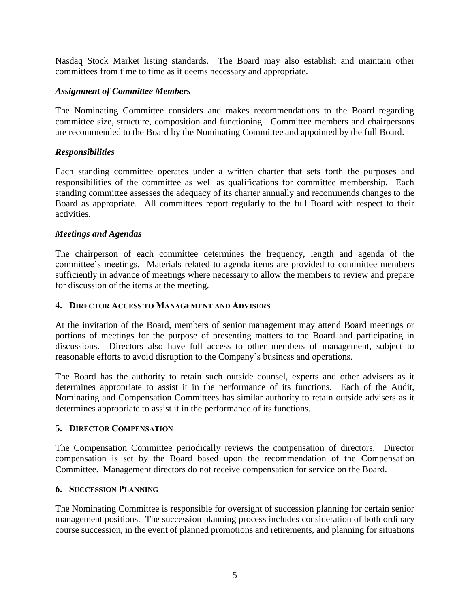Nasdaq Stock Market listing standards. The Board may also establish and maintain other committees from time to time as it deems necessary and appropriate.

### *Assignment of Committee Members*

The Nominating Committee considers and makes recommendations to the Board regarding committee size, structure, composition and functioning. Committee members and chairpersons are recommended to the Board by the Nominating Committee and appointed by the full Board.

### *Responsibilities*

Each standing committee operates under a written charter that sets forth the purposes and responsibilities of the committee as well as qualifications for committee membership. Each standing committee assesses the adequacy of its charter annually and recommends changes to the Board as appropriate. All committees report regularly to the full Board with respect to their activities.

#### *Meetings and Agendas*

The chairperson of each committee determines the frequency, length and agenda of the committee's meetings. Materials related to agenda items are provided to committee members sufficiently in advance of meetings where necessary to allow the members to review and prepare for discussion of the items at the meeting.

#### **4. DIRECTOR ACCESS TO MANAGEMENT AND ADVISERS**

At the invitation of the Board, members of senior management may attend Board meetings or portions of meetings for the purpose of presenting matters to the Board and participating in discussions. Directors also have full access to other members of management, subject to reasonable efforts to avoid disruption to the Company's business and operations.

The Board has the authority to retain such outside counsel, experts and other advisers as it determines appropriate to assist it in the performance of its functions. Each of the Audit, Nominating and Compensation Committees has similar authority to retain outside advisers as it determines appropriate to assist it in the performance of its functions.

#### **5. DIRECTOR COMPENSATION**

The Compensation Committee periodically reviews the compensation of directors. Director compensation is set by the Board based upon the recommendation of the Compensation Committee. Management directors do not receive compensation for service on the Board.

#### **6. SUCCESSION PLANNING**

The Nominating Committee is responsible for oversight of succession planning for certain senior management positions. The succession planning process includes consideration of both ordinary course succession, in the event of planned promotions and retirements, and planning for situations